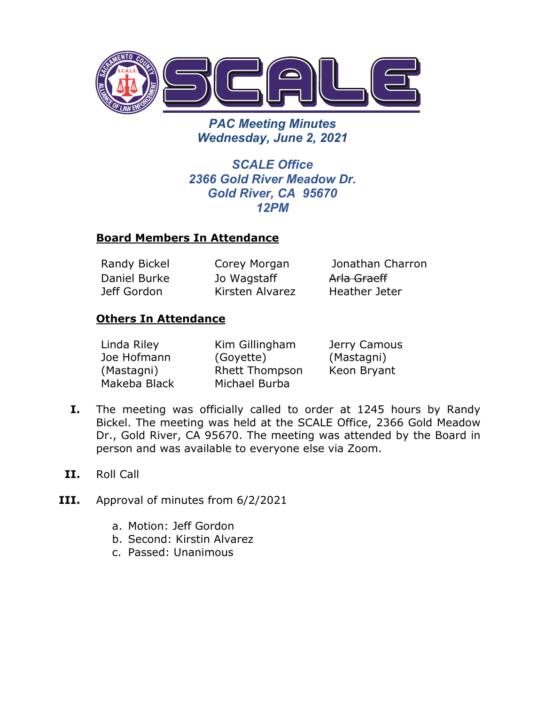

*PAC Meeting Minutes Wednesday, June 2, 2021*

*SCALE Office 2366 Gold River Meadow Dr. Gold River, CA 95670 12PM*

### **Board Members In Attendance**

Daniel Burke Jeff Gordon

Jo Wagstaff Kirsten Alvarez

Randy Bickel Corey Morgan Jonathan Charron Arla Graeff Heather Jeter

### **Others In Attendance**

| Linda Riley  | Kim Gillingham        | Jerry Camous |
|--------------|-----------------------|--------------|
| Joe Hofmann  | (Goyette)             | (Mastagni)   |
| (Mastagni)   | <b>Rhett Thompson</b> | Keon Bryant  |
| Makeba Black | Michael Burba         |              |

- **I.** The meeting was officially called to order at 1245 hours by Randy Bickel. The meeting was held at the SCALE Office, 2366 Gold Meadow Dr., Gold River, CA 95670. The meeting was attended by the Board in person and was available to everyone else via Zoom.
- **II.** Roll Call
- **III.** Approval of minutes from 6/2/2021
	- a. Motion: Jeff Gordon
	- b. Second: Kirstin Alvarez
	- c. Passed: Unanimous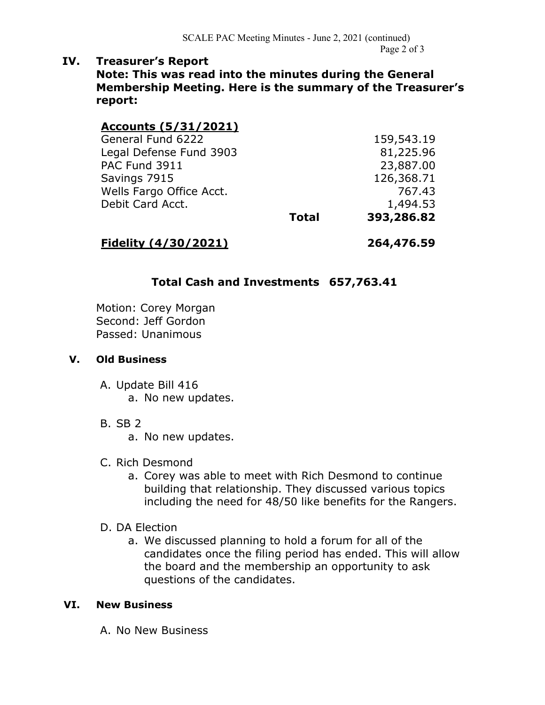## **IV. Treasurer's Report**

**Note: This was read into the minutes during the General Membership Meeting. Here is the summary of the Treasurer's report:**

## **Accounts (5/31/2021)**

| General Fund 6222        |              | 159,543.19 |
|--------------------------|--------------|------------|
| Legal Defense Fund 3903  |              | 81,225.96  |
| PAC Fund 3911            |              | 23,887.00  |
| Savings 7915             |              | 126,368.71 |
| Wells Fargo Office Acct. |              | 767.43     |
| Debit Card Acct.         |              | 1,494.53   |
|                          | <b>Total</b> | 393,286.82 |
|                          |              |            |

### **Fidelity (4/30/2021) 264,476.59**

# **Total Cash and Investments 657,763.41**

Motion: Corey Morgan Second: Jeff Gordon Passed: Unanimous

#### **V. Old Business**

A. Update Bill 416 a. No new updates.

- B. SB 2
	- a. No new updates.
- C. Rich Desmond
	- a. Corey was able to meet with Rich Desmond to continue building that relationship. They discussed various topics including the need for 48/50 like benefits for the Rangers.
- D. DA Election
	- a. We discussed planning to hold a forum for all of the candidates once the filing period has ended. This will allow the board and the membership an opportunity to ask questions of the candidates.

#### **VI. New Business**

A. No New Business